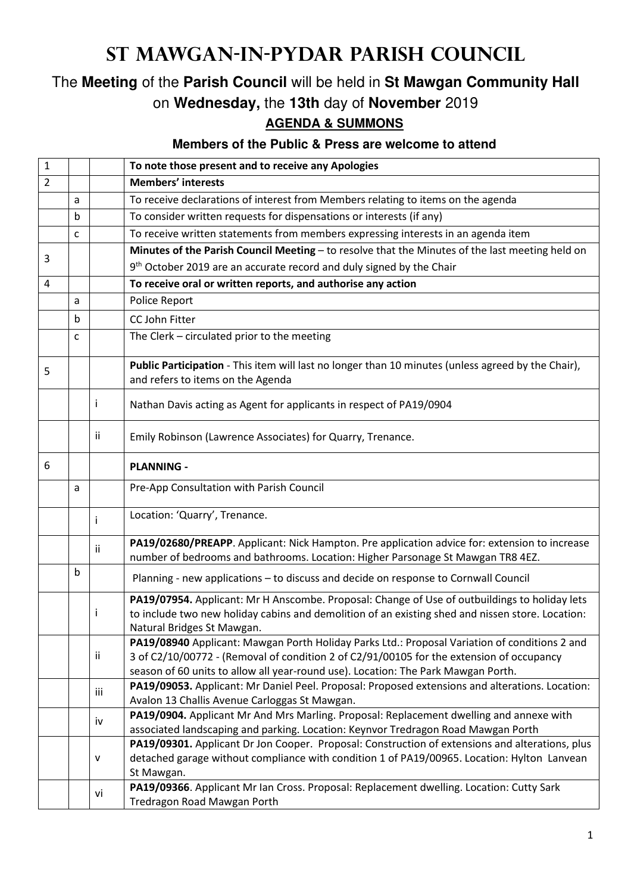## **St Mawgan-in-Pydar Parish Council**

## The **Meeting** of the **Parish Council** will be held in **St Mawgan Community Hall** on **Wednesday,** the **13th** day of **November** 2019

## **AGENDA & SUMMONS**

## **Members of the Public & Press are welcome to attend**

| $\mathbf{1}$ |   |     | To note those present and to receive any Apologies                                                                                                                                                                                                                             |
|--------------|---|-----|--------------------------------------------------------------------------------------------------------------------------------------------------------------------------------------------------------------------------------------------------------------------------------|
| 2            |   |     | <b>Members' interests</b>                                                                                                                                                                                                                                                      |
|              | a |     | To receive declarations of interest from Members relating to items on the agenda                                                                                                                                                                                               |
|              | b |     | To consider written requests for dispensations or interests (if any)                                                                                                                                                                                                           |
|              | c |     | To receive written statements from members expressing interests in an agenda item                                                                                                                                                                                              |
|              |   |     | Minutes of the Parish Council Meeting - to resolve that the Minutes of the last meeting held on                                                                                                                                                                                |
| 3            |   |     | 9 <sup>th</sup> October 2019 are an accurate record and duly signed by the Chair                                                                                                                                                                                               |
| 4            |   |     | To receive oral or written reports, and authorise any action                                                                                                                                                                                                                   |
|              | a |     | Police Report                                                                                                                                                                                                                                                                  |
|              | b |     | CC John Fitter                                                                                                                                                                                                                                                                 |
|              | c |     | The Clerk - circulated prior to the meeting                                                                                                                                                                                                                                    |
|              |   |     |                                                                                                                                                                                                                                                                                |
| 5            |   |     | Public Participation - This item will last no longer than 10 minutes (unless agreed by the Chair),<br>and refers to items on the Agenda                                                                                                                                        |
|              |   | j.  | Nathan Davis acting as Agent for applicants in respect of PA19/0904                                                                                                                                                                                                            |
|              |   | Ϊİ  | Emily Robinson (Lawrence Associates) for Quarry, Trenance.                                                                                                                                                                                                                     |
| 6            |   |     | <b>PLANNING -</b>                                                                                                                                                                                                                                                              |
|              | a |     | Pre-App Consultation with Parish Council                                                                                                                                                                                                                                       |
|              |   | i.  | Location: 'Quarry', Trenance.                                                                                                                                                                                                                                                  |
|              |   | ii. | PA19/02680/PREAPP. Applicant: Nick Hampton. Pre application advice for: extension to increase<br>number of bedrooms and bathrooms. Location: Higher Parsonage St Mawgan TR8 4EZ.                                                                                               |
|              | b |     | Planning - new applications - to discuss and decide on response to Cornwall Council                                                                                                                                                                                            |
|              |   | Ť   | PA19/07954. Applicant: Mr H Anscombe. Proposal: Change of Use of outbuildings to holiday lets<br>to include two new holiday cabins and demolition of an existing shed and nissen store. Location:<br>Natural Bridges St Mawgan.                                                |
|              |   | ij. | PA19/08940 Applicant: Mawgan Porth Holiday Parks Ltd.: Proposal Variation of conditions 2 and<br>3 of C2/10/00772 - (Removal of condition 2 of C2/91/00105 for the extension of occupancy<br>season of 60 units to allow all year-round use). Location: The Park Mawgan Porth. |
|              |   | iii | PA19/09053. Applicant: Mr Daniel Peel. Proposal: Proposed extensions and alterations. Location:<br>Avalon 13 Challis Avenue Carloggas St Mawgan.                                                                                                                               |
|              |   | iv  | PA19/0904. Applicant Mr And Mrs Marling. Proposal: Replacement dwelling and annexe with<br>associated landscaping and parking. Location: Keynvor Tredragon Road Mawgan Porth                                                                                                   |
|              |   | v   | PA19/09301. Applicant Dr Jon Cooper. Proposal: Construction of extensions and alterations, plus<br>detached garage without compliance with condition 1 of PA19/00965. Location: Hylton Lanvean<br>St Mawgan.                                                                   |
|              |   | vi  | PA19/09366. Applicant Mr Ian Cross. Proposal: Replacement dwelling. Location: Cutty Sark<br>Tredragon Road Mawgan Porth                                                                                                                                                        |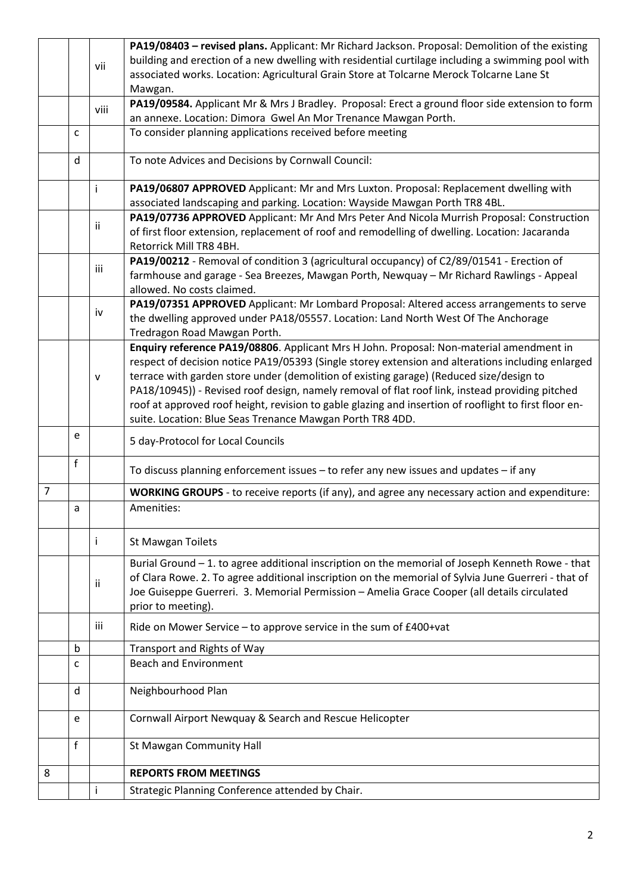|                |   |      | PA19/08403 - revised plans. Applicant: Mr Richard Jackson. Proposal: Demolition of the existing       |
|----------------|---|------|-------------------------------------------------------------------------------------------------------|
|                |   | vii  | building and erection of a new dwelling with residential curtilage including a swimming pool with     |
|                |   |      | associated works. Location: Agricultural Grain Store at Tolcarne Merock Tolcarne Lane St              |
|                |   |      | Mawgan.                                                                                               |
|                |   | viii | PA19/09584. Applicant Mr & Mrs J Bradley. Proposal: Erect a ground floor side extension to form       |
|                |   |      | an annexe. Location: Dimora Gwel An Mor Trenance Mawgan Porth.                                        |
|                | C |      | To consider planning applications received before meeting                                             |
|                | d |      | To note Advices and Decisions by Cornwall Council:                                                    |
|                |   | i.   | PA19/06807 APPROVED Applicant: Mr and Mrs Luxton. Proposal: Replacement dwelling with                 |
|                |   |      | associated landscaping and parking. Location: Wayside Mawgan Porth TR8 4BL.                           |
|                |   |      | PA19/07736 APPROVED Applicant: Mr And Mrs Peter And Nicola Murrish Proposal: Construction             |
|                |   | ij.  | of first floor extension, replacement of roof and remodelling of dwelling. Location: Jacaranda        |
|                |   |      | Retorrick Mill TR8 4BH.                                                                               |
|                |   |      | PA19/00212 - Removal of condition 3 (agricultural occupancy) of C2/89/01541 - Erection of             |
|                |   | iii  | farmhouse and garage - Sea Breezes, Mawgan Porth, Newquay - Mr Richard Rawlings - Appeal              |
|                |   |      | allowed. No costs claimed.                                                                            |
|                |   |      | PA19/07351 APPROVED Applicant: Mr Lombard Proposal: Altered access arrangements to serve              |
|                |   | iv   | the dwelling approved under PA18/05557. Location: Land North West Of The Anchorage                    |
|                |   |      | Tredragon Road Mawgan Porth.                                                                          |
|                |   |      | Enquiry reference PA19/08806. Applicant Mrs H John. Proposal: Non-material amendment in               |
|                |   |      | respect of decision notice PA19/05393 (Single storey extension and alterations including enlarged     |
|                |   | v    | terrace with garden store under (demolition of existing garage) (Reduced size/design to               |
|                |   |      | PA18/10945)) - Revised roof design, namely removal of flat roof link, instead providing pitched       |
|                |   |      | roof at approved roof height, revision to gable glazing and insertion of rooflight to first floor en- |
|                |   |      | suite. Location: Blue Seas Trenance Mawgan Porth TR8 4DD.                                             |
|                | e |      | 5 day-Protocol for Local Councils                                                                     |
|                | f |      | To discuss planning enforcement issues - to refer any new issues and updates - if any                 |
| $\overline{7}$ |   |      | <b>WORKING GROUPS</b> - to receive reports (if any), and agree any necessary action and expenditure:  |
|                | a |      | Amenities:                                                                                            |
|                |   |      |                                                                                                       |
|                |   | i.   | <b>St Mawgan Toilets</b>                                                                              |
|                |   |      | Burial Ground - 1. to agree additional inscription on the memorial of Joseph Kenneth Rowe - that      |
|                |   | Ϊİ   | of Clara Rowe. 2. To agree additional inscription on the memorial of Sylvia June Guerreri - that of   |
|                |   |      | Joe Guiseppe Guerreri. 3. Memorial Permission - Amelia Grace Cooper (all details circulated           |
|                |   |      | prior to meeting).                                                                                    |
|                |   | iii  | Ride on Mower Service - to approve service in the sum of £400+vat                                     |
|                | b |      | Transport and Rights of Way                                                                           |
|                | c |      | <b>Beach and Environment</b>                                                                          |
|                |   |      |                                                                                                       |
|                | d |      | Neighbourhood Plan                                                                                    |
|                | e |      | Cornwall Airport Newquay & Search and Rescue Helicopter                                               |
|                | f |      | St Mawgan Community Hall                                                                              |
|                |   |      |                                                                                                       |
| 8              |   |      | <b>REPORTS FROM MEETINGS</b>                                                                          |
|                |   | i.   | Strategic Planning Conference attended by Chair.                                                      |